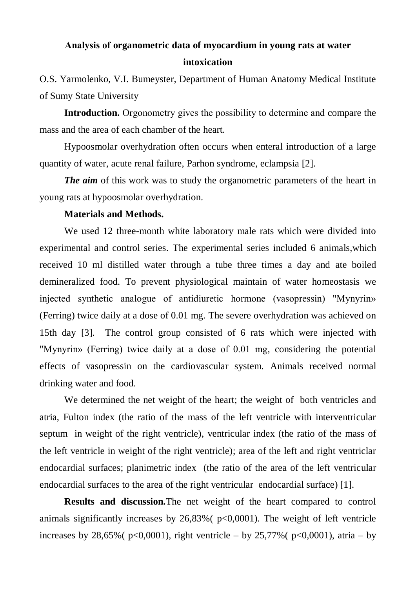## **Аnalysis of organometric data of myocardium in young rats at water intoxication**

О.S. Yarmolenko, V.I. Bumeyster, Department of Human Anatomy Medical Institute of Sumy State University

**Introduction.** Оrgonometry gives the possibility to determine and compare the mass and the area of each chamber of the heart.

Hypoosmolar overhydration often occurs when enteral introduction of a large quantity of water, acute renal failure, Parhon syndrome, eclampsia [2].

*The aim* of this work was to study the organometric parameters of the heart in young rats at hypoosmolar overhydration.

## **Materials and Methods.**

We used 12 three-month white laboratory male rats which were divided into experimental and control series. The experimental series included 6 animals,which received 10 ml distilled water through a tube three times a day and ate boiled demineralized food. To prevent physiological maintain of water homeostasis we injected synthetic analogue of antidiuretic hormone (vasopressin) "Mynyrin» (Ferring) twice daily at a dose of 0.01 mg. The severe overhydration was achieved on 15th day [3]. The control group consisted of 6 rats which were injected with "Mynyrin» (Ferring) twice daily at a dose of 0.01 mg, considering the potential effects of vasopressin on the cardiovascular system. Animals received normal drinking water and food.

We determined the net weight of the heart; the weight of both ventricles and atria, Fulton index (the ratio of the mass of the left ventricle with interventricular septum in weight of the right ventricle), ventricular index (the ratio of the mass of the left ventricle in weight of the right ventricle); area of the left and right ventriclar endocardial surfaces; planimetric index (the ratio of the area of the left ventricular endocardial surfaces to the area of the right ventricular endocardial surface) [1].

**Results and discussion.**The net weight of the heart compared to control animals significantly increases by  $26,83\%$  ( $p<0,0001$ ). The weight of left ventricle increases by 28,65% ( $p<0,0001$ ), right ventricle – by 25,77% ( $p<0,0001$ ), atria – by